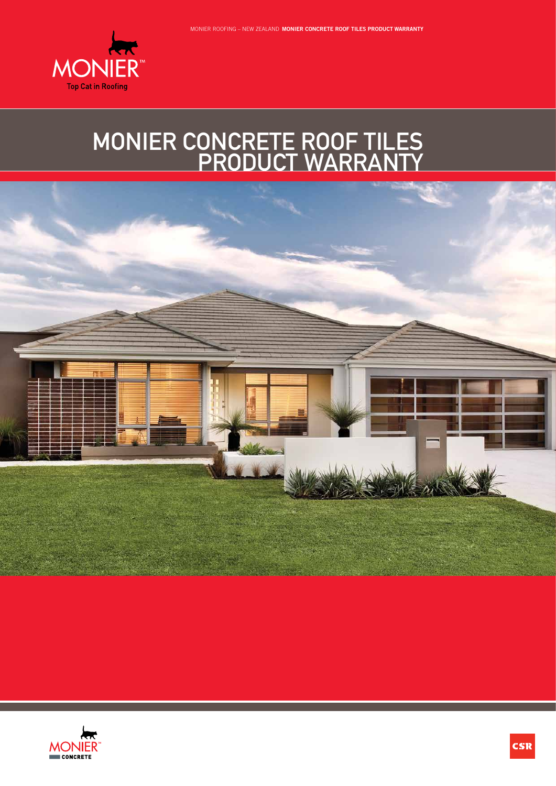

## MONIER CONCRETE ROOF TILES PRODUCT WARRANTY



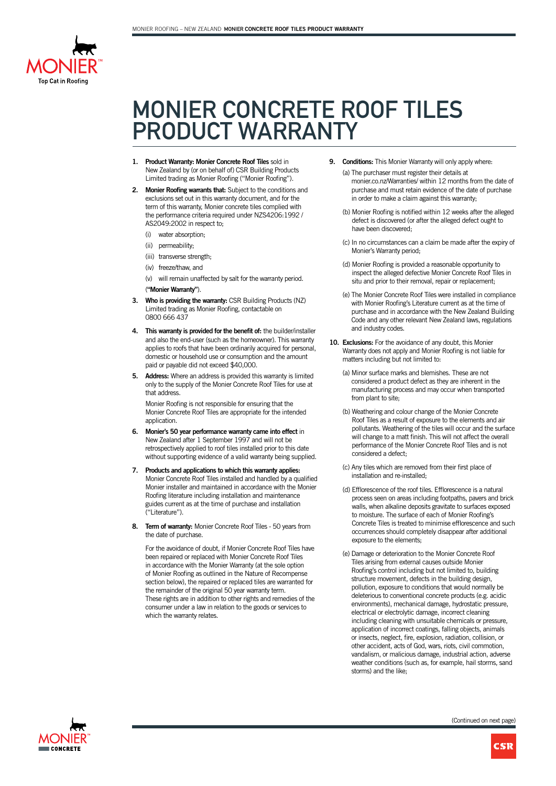

## MONIER CONCRETE ROOF TILES PRODUCT WARRANTY

- **1. Product Warranty: Monier Concrete Roof Tiles** sold in New Zealand by (or on behalf of) CSR Building Products Limited trading as Monier Roofing ("Monier Roofing").
- **2. Monier Roofing warrants that:** Subject to the conditions and exclusions set out in this warranty document, and for the term of this warranty, Monier concrete tiles complied with the performance criteria required under NZS4206:1992 / AS2049:2002 in respect to;
	- (i) water absorption;
	- (ii) permeability;
	- (iii) transverse strength;
	- (iv) freeze/thaw, and

(v) will remain unaffected by salt for the warranty period. (**"Monier Warranty"**).

- **3. Who is providing the warranty:** CSR Building Products (NZ) Limited trading as Monier Roofing, contactable on 0800 666 437
- **4. This warranty is provided for the benefit of:** the builder/installer and also the end-user (such as the homeowner). This warranty applies to roofs that have been ordinarily acquired for personal, domestic or household use or consumption and the amount paid or payable did not exceed \$40,000.
- **5. Address:** Where an address is provided this warranty is limited only to the supply of the Monier Concrete Roof Tiles for use at that address.

Monier Roofing is not responsible for ensuring that the Monier Concrete Roof Tiles are appropriate for the intended application.

- **6. Monier's 50 year performance warranty came into effect** in New Zealand after 1 September 1997 and will not be retrospectively applied to roof tiles installed prior to this date without supporting evidence of a valid warranty being supplied.
- **7. Products and applications to which this warranty applies:** Monier Concrete Roof Tiles installed and handled by a qualified Monier installer and maintained in accordance with the Monier Roofing literature including installation and maintenance guides current as at the time of purchase and installation ("Literature").
- **8. Term of warranty:** Monier Concrete Roof Tiles 50 years from the date of purchase.

For the avoidance of doubt, if Monier Concrete Roof Tiles have been repaired or replaced with Monier Concrete Roof Tiles in accordance with the Monier Warranty (at the sole option of Monier Roofing as outlined in the Nature of Recompense section below), the repaired or replaced tiles are warranted for the remainder of the original 50 year warranty term. These rights are in addition to other rights and remedies of the consumer under a law in relation to the goods or services to which the warranty relates.

**9. Conditions:** This Monier Warranty will only apply where:

(a) The purchaser must register their details at monier.co.nz/Warranties/ within 12 months from the date of purchase and must retain evidence of the date of purchase in order to make a claim against this warranty;

- (b) Monier Roofing is notified within 12 weeks after the alleged defect is discovered (or after the alleged defect ought to have been discovered;
- (c) In no circumstances can a claim be made after the expiry of Monier's Warranty period;
- (d) Monier Roofing is provided a reasonable opportunity to inspect the alleged defective Monier Concrete Roof Tiles in situ and prior to their removal, repair or replacement;
- (e) The Monier Concrete Roof Tiles were installed in compliance with Monier Roofing's Literature current as at the time of purchase and in accordance with the New Zealand Building Code and any other relevant New Zealand laws, regulations and industry codes.
- **10. Exclusions:** For the avoidance of any doubt, this Monier Warranty does not apply and Monier Roofing is not liable for matters including but not limited to:
	- (a) Minor surface marks and blemishes. These are not considered a product defect as they are inherent in the manufacturing process and may occur when transported from plant to site;
	- (b) Weathering and colour change of the Monier Concrete Roof Tiles as a result of exposure to the elements and air pollutants. Weathering of the tiles will occur and the surface will change to a matt finish. This will not affect the overall performance of the Monier Concrete Roof Tiles and is not considered a defect;
	- (c) Any tiles which are removed from their first place of installation and re-installed;
	- (d) Efflorescence of the roof tiles. Efflorescence is a natural process seen on areas including footpaths, pavers and brick walls, when alkaline deposits gravitate to surfaces exposed to moisture. The surface of each of Monier Roofing's Concrete Tiles is treated to minimise efflorescence and such occurrences should completely disappear after additional exposure to the elements.
	- (e) Damage or deterioration to the Monier Concrete Roof Tiles arising from external causes outside Monier Roofing's control including but not limited to, building structure movement, defects in the building design, pollution, exposure to conditions that would normally be deleterious to conventional concrete products (e.g. acidic environments), mechanical damage, hydrostatic pressure, electrical or electrolytic damage, incorrect cleaning including cleaning with unsuitable chemicals or pressure, application of incorrect coatings, falling objects, animals or insects, neglect, fire, explosion, radiation, collision, or other accident, acts of God, wars, riots, civil commotion, vandalism, or malicious damage, industrial action, adverse weather conditions (such as, for example, hail storms, sand storms) and the like;

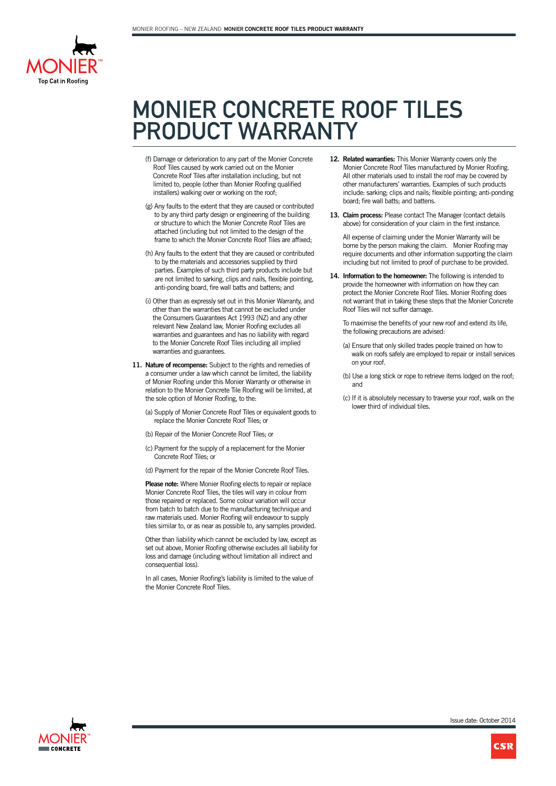

## MONIER CONCRETE ROOF TILES PRODUCT WARRANTY

- (f) Damage or deterioration to any part of the Monier Concrete Roof Tiles caused by work carried out on the Monier Concrete Roof Tiles after installation including, but not limited to, people (other than Monier Roofing qualified installers) walking over or working on the roof;
- (g) Any faults to the extent that they are caused or contributed to by any third party design or engineering of the building or structure to which the Monier Concrete Roof Tiles are attached (including but not limited to the design of the frame to which the Monier Concrete Roof Tiles are affixed;
- (h) Any faults to the extent that they are caused or contributed to by the materials and accessories supplied by third parties. Examples of such third party products include but are not limited to sarking, clips and nails, flexible pointing, anti-ponding board, fire wall batts and battens; and
- (i) Other than as expressly set out in this Monier Warranty, and other than the warranties that cannot be excluded under the Consumers Guarantees Act 1993 (NZ) and any other relevant New Zealand law, Monier Roofing excludes all warranties and guarantees and has no liability with regard to the Monier Concrete Roof Tiles including all implied warranties and guarantees.
- **11. Nature of recompense:** Subject to the rights and remedies of a consumer under a law which cannot be limited, the liability of Monier Roofing under this Monier Warranty or otherwise in relation to the Monier Concrete Tile Roofing will be limited, at the sole option of Monier Roofing, to the:
	- (a) Supply of Monier Concrete Roof Tiles or equivalent goods to replace the Monier Concrete Roof Tiles; or
	- (b) Repair of the Monier Concrete Roof Tiles; or
	- (c) Payment for the supply of a replacement for the Monier Concrete Roof Tiles; or
	- (d) Payment for the repair of the Monier Concrete Roof Tiles.

**Please note:** Where Monier Roofing elects to repair or replace Monier Concrete Roof Tiles, the tiles will vary in colour from those repaired or replaced. Some colour variation will occur from batch to batch due to the manufacturing technique and raw materials used. Monier Roofing will endeavour to supply tiles similar to, or as near as possible to, any samples provided.

Other than liability which cannot be excluded by law, except as set out above, Monier Roofing otherwise excludes all liability for loss and damage (including without limitation all indirect and consequential loss).

In all cases, Monier Roofing's liability is limited to the value of the Monier Concrete Roof Tiles.

- **12. Related warranties:** This Monier Warranty covers only the Monier Concrete Roof Tiles manufactured by Monier Roofing. All other materials used to install the roof may be covered by other manufacturers' warranties. Examples of such products include: sarking; clips and nails; flexible pointing; anti-ponding board; fire wall batts; and battens.
- **13. Claim process:** Please contact The Manager (contact details above) for consideration of your claim in the first instance.

All expense of claiming under the Monier Warranty will be borne by the person making the claim. Monier Roofing may require documents and other information supporting the claim including but not limited to proof of purchase to be provided.

**14. Information to the homeowner:** The following is intended to provide the homeowner with information on how they can protect the Monier Concrete Roof Tiles. Monier Roofing does not warrant that in taking these steps that the Monier Concrete Roof Tiles will not suffer damage.

To maximise the benefits of your new roof and extend its life, the following precautions are advised:

- (a) Ensure that only skilled trades people trained on how to walk on roofs safely are employed to repair or install services on your roof.
- (b) Use a long stick or rope to retrieve items lodged on the roof; and
- (c) If it is absolutely necessary to traverse your roof, walk on the lower third of individual tiles.